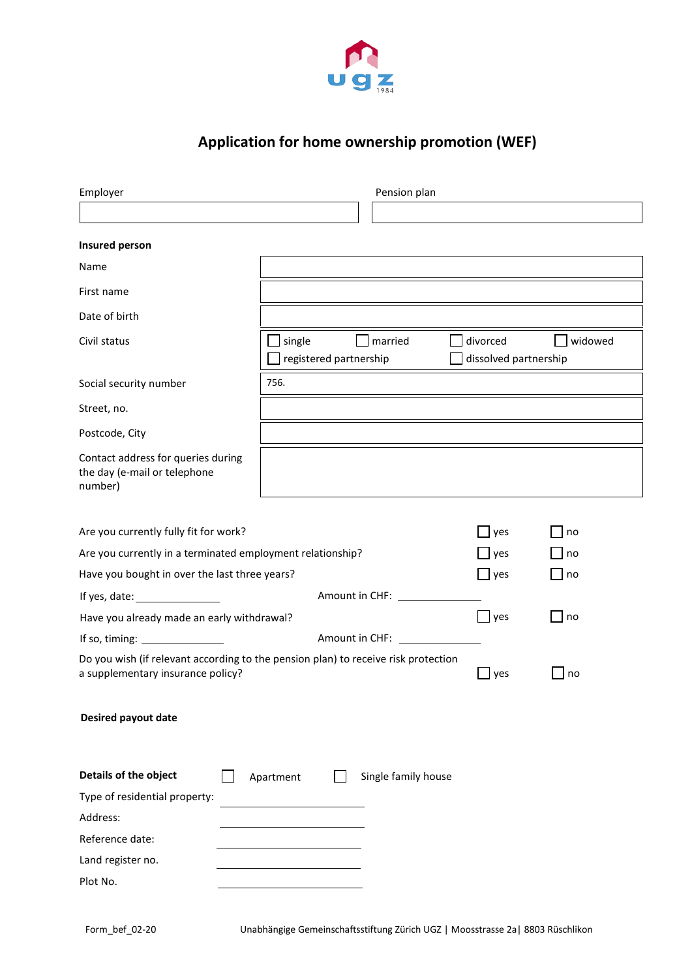

# **Application for home ownership promotion (WEF)**

| Employer                                                                                                                |                                  | Pension plan        |                                   |         |
|-------------------------------------------------------------------------------------------------------------------------|----------------------------------|---------------------|-----------------------------------|---------|
|                                                                                                                         |                                  |                     |                                   |         |
| Insured person                                                                                                          |                                  |                     |                                   |         |
| Name                                                                                                                    |                                  |                     |                                   |         |
| First name                                                                                                              |                                  |                     |                                   |         |
| Date of birth                                                                                                           |                                  |                     |                                   |         |
| Civil status                                                                                                            | single<br>registered partnership | married             | divorced<br>dissolved partnership | widowed |
| Social security number                                                                                                  | 756.                             |                     |                                   |         |
| Street, no.                                                                                                             |                                  |                     |                                   |         |
| Postcode, City                                                                                                          |                                  |                     |                                   |         |
| Contact address for queries during<br>the day (e-mail or telephone<br>number)                                           |                                  |                     |                                   |         |
| Are you currently fully fit for work?                                                                                   |                                  |                     | $\mathsf{\mathsf{J}}$ yes         | no      |
| Are you currently in a terminated employment relationship?                                                              |                                  |                     | yes                               | no      |
| Have you bought in over the last three years?                                                                           |                                  |                     | $\Box$ yes                        | no      |
| If yes, date: $\sqrt{\frac{2}{1-\frac{1}{2}}$                                                                           | Amount in CHF: ____              |                     |                                   |         |
| Have you already made an early withdrawal?                                                                              | yes                              | no                  |                                   |         |
| If so, timing: $\frac{1}{2}$                                                                                            | Amount in CHF:                   |                     |                                   |         |
| Do you wish (if relevant according to the pension plan) to receive risk protection<br>a supplementary insurance policy? |                                  |                     | yes                               | l no    |
| <b>Desired payout date</b>                                                                                              |                                  |                     |                                   |         |
| Details of the object                                                                                                   | Apartment                        | Single family house |                                   |         |
| Type of residential property:                                                                                           |                                  |                     |                                   |         |
| Address:                                                                                                                |                                  |                     |                                   |         |
| Reference date:                                                                                                         |                                  |                     |                                   |         |
| Land register no.                                                                                                       |                                  |                     |                                   |         |
| Plot No.                                                                                                                |                                  |                     |                                   |         |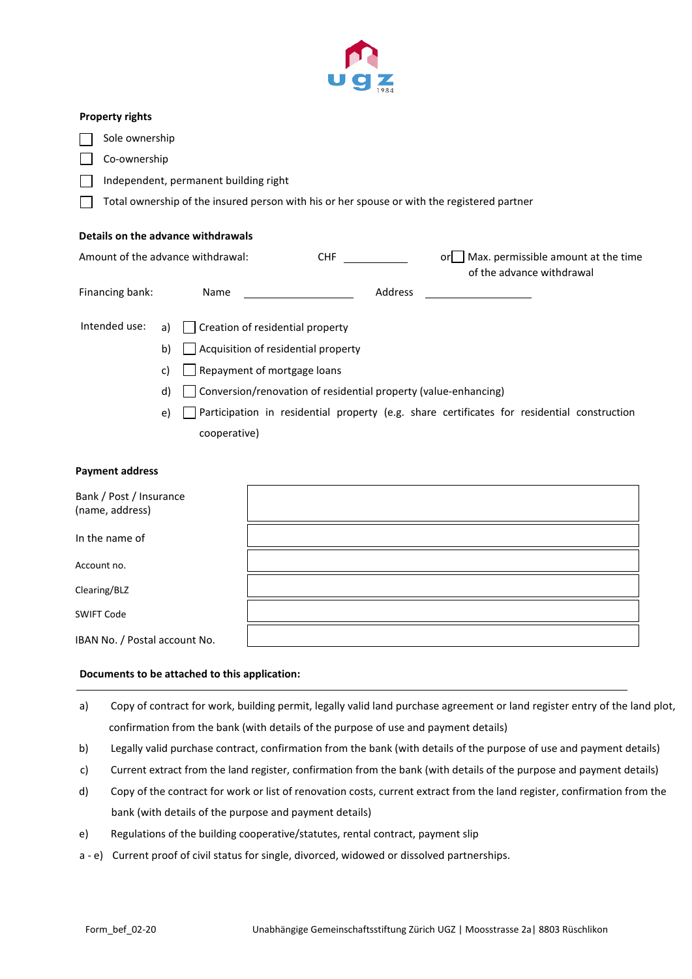

## **Property rights**

Sole ownership

Co-ownership

Independent, permanent building right

Total ownership of the insured person with his or her spouse or with the registered partner

# **Details on the advance withdrawals**

| Amount of the advance withdrawal: |    | <b>CHF</b>                                                      |         | Max. permissible amount at the time<br>orl<br>of the advance withdrawal                     |  |
|-----------------------------------|----|-----------------------------------------------------------------|---------|---------------------------------------------------------------------------------------------|--|
| Financing bank:                   |    | <b>Name</b>                                                     | Address |                                                                                             |  |
| Intended use:                     |    | a) $\Box$ Creation of residential property                      |         |                                                                                             |  |
|                                   | b) | Acquisition of residential property                             |         |                                                                                             |  |
|                                   | C) | Repayment of mortgage loans                                     |         |                                                                                             |  |
|                                   | d) | Conversion/renovation of residential property (value-enhancing) |         |                                                                                             |  |
|                                   | e) |                                                                 |         | Participation in residential property (e.g. share certificates for residential construction |  |

#### **Payment address**

| Bank / Post / Insurance<br>(name, address) |  |
|--------------------------------------------|--|
| In the name of                             |  |
| Account no.                                |  |
| Clearing/BLZ                               |  |
| <b>SWIFT Code</b>                          |  |
| IBAN No. / Postal account No.              |  |

# **Documents to be attached to this application:**

cooperative)

- a) Copy of contract for work, building permit, legally valid land purchase agreement or land register entry of the land plot, confirmation from the bank (with details of the purpose of use and payment details)
- b) Legally valid purchase contract, confirmation from the bank (with details of the purpose of use and payment details)
- c) Current extract from the land register, confirmation from the bank (with details of the purpose and payment details)
- d) Copy of the contract for work or list of renovation costs, current extract from the land register, confirmation from the bank (with details of the purpose and payment details)
- e) Regulations of the building cooperative/statutes, rental contract, payment slip
- a e) Current proof of civil status for single, divorced, widowed or dissolved partnerships.